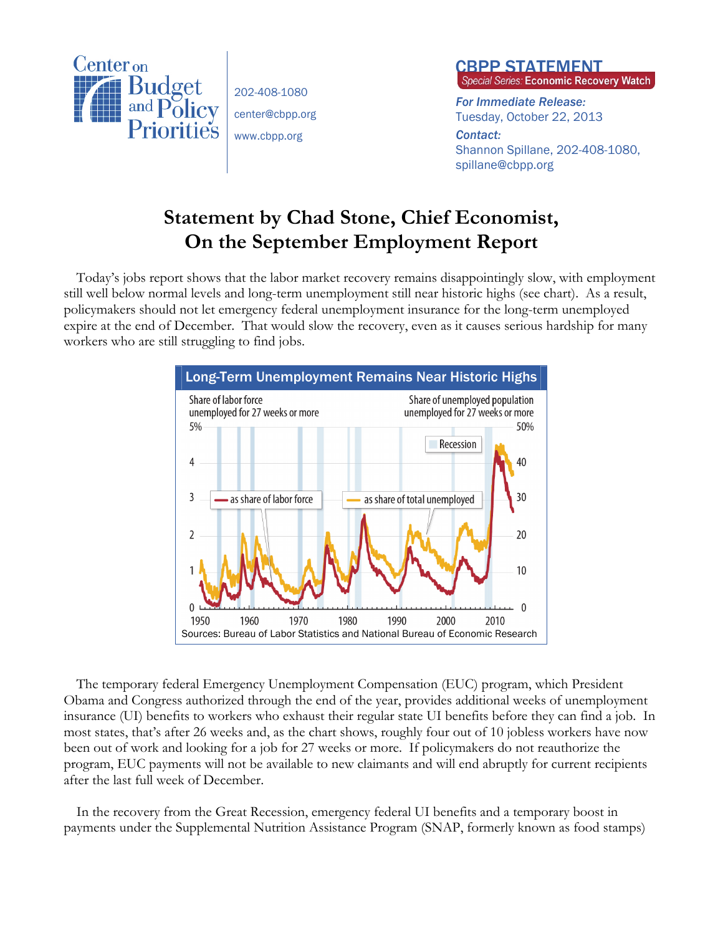

202-408-1080 center@cbpp.org www.cbpp.org



*For Immediate Release:*  Tuesday, October 22, 2013

*Contact:*  Shannon Spillane, 202-408-1080, spillane@cbpp.org

## **Statement by Chad Stone, Chief Economist, On the September Employment Report**

Today's jobs report shows that the labor market recovery remains disappointingly slow, with employment still well below normal levels and long-term unemployment still near historic highs (see chart). As a result, policymakers should not let emergency federal unemployment insurance for the long-term unemployed expire at the end of December. That would slow the recovery, even as it causes serious hardship for many workers who are still struggling to find jobs.



The temporary federal Emergency Unemployment Compensation (EUC) program, which President Obama and Congress authorized through the end of the year, provides additional weeks of unemployment insurance (UI) benefits to workers who exhaust their regular state UI benefits before they can find a job. In most states, that's after 26 weeks and, as the chart shows, roughly four out of 10 jobless workers have now been out of work and looking for a job for 27 weeks or more. If policymakers do not reauthorize the program, EUC payments will not be available to new claimants and will end abruptly for current recipients after the last full week of December.

In the recovery from the Great Recession, emergency federal UI benefits and a temporary boost in payments under the Supplemental Nutrition Assistance Program (SNAP, formerly known as food stamps)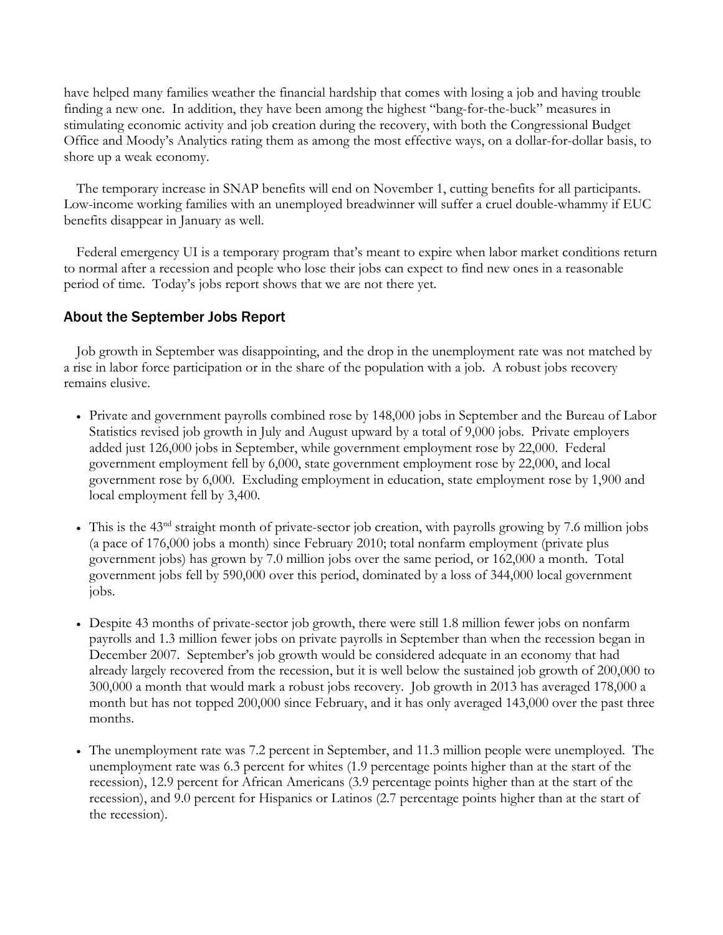have helped many families weather the financial hardship that comes with losing a job and having trouble finding a new one. In addition, they have been among the highest "bang-for-the-buck" measures in stimulating economic activity and job creation during the recovery, with both the Congressional Budget Office and Moody's Analytics rating them as among the most effective ways, on a dollar-for-dollar basis, to shore up a weak economy.

The temporary increase in SNAP benefits will end on November 1, cutting benefits for all participants. Low-income working families with an unemployed breadwinner will suffer a cruel double-whammy if EUC benefits disappear in January as well.

Federal emergency UI is a temporary program that's meant to expire when labor market conditions return to normal after a recession and people who lose their jobs can expect to find new ones in a reasonable period of time. Today's jobs report shows that we are not there yet.

## About the September Jobs Report

Job growth in September was disappointing, and the drop in the unemployment rate was not matched by a rise in labor force participation or in the share of the population with a job. A robust jobs recovery remains elusive.

- Private and government payrolls combined rose by 148,000 jobs in September and the Bureau of Labor Statistics revised job growth in July and August upward by a total of 9,000 jobs. Private employers added just 126,000 jobs in September, while government employment rose by 22,000. Federal government employment fell by 6,000, state government employment rose by 22,000, and local government rose by 6,000. Excluding employment in education, state employment rose by 1,900 and local employment fell by 3,400.
- $\bullet$  This is the 43<sup>nd</sup> straight month of private-sector job creation, with payrolls growing by 7.6 million jobs (a pace of 176,000 jobs a month) since February 2010; total nonfarm employment (private plus government jobs) has grown by 7.0 million jobs over the same period, or 162,000 a month. Total government jobs fell by 590,000 over this period, dominated by a loss of 344,000 local government jobs.
- Despite 43 months of private-sector job growth, there were still 1.8 million fewer jobs on nonfarm payrolls and 1.3 million fewer jobs on private payrolls in September than when the recession began in December 2007. September's job growth would be considered adequate in an economy that had already largely recovered from the recession, but it is well below the sustained job growth of 200,000 to 300,000 a month that would mark a robust jobs recovery. Job growth in 2013 has averaged 178,000 a month but has not topped 200,000 since February, and it has only averaged 143,000 over the past three months.
- The unemployment rate was 7.2 percent in September, and 11.3 million people were unemployed. The unemployment rate was 6.3 percent for whites (1.9 percentage points higher than at the start of the recession), 12.9 percent for African Americans (3.9 percentage points higher than at the start of the recession), and 9.0 percent for Hispanics or Latinos (2.7 percentage points higher than at the start of the recession).